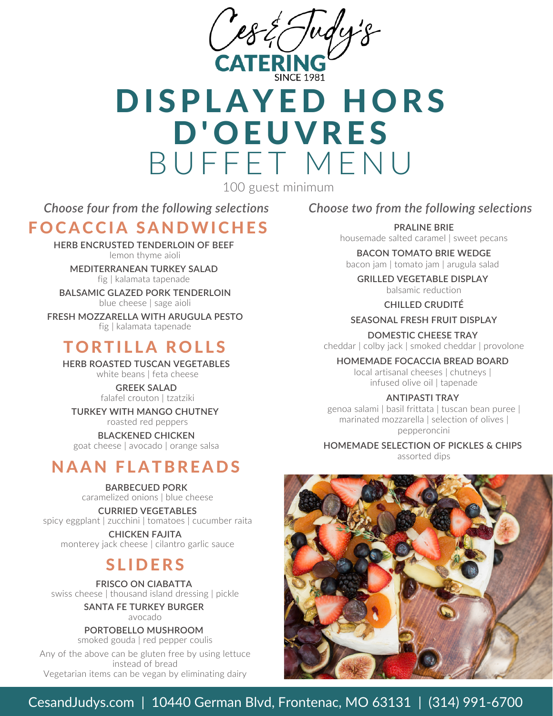

# DISPLAYED HORS D'OEUVRES BUFFET MENU

100 guest minimum

*Choose four from the following selections*

## FOCACCIA SANDWICHES

**HERB ENCRUSTED TENDERLOIN OF BEEF** lemon thyme aioli

**MEDITERRANEAN TURKEY SALAD** fig |kalamata tapenade

**BALSAMIC GLAZED PORK TENDERLOIN** blue cheese | sage aioli

**FRESH MOZZARELLA WITH ARUGULA PESTO** fig |kalamata tapenade

# **TORTILLA ROLLS**

**HERB ROASTED TUSCAN VEGETABLES** white beans | feta cheese

> **GREEK SALAD** falafel crouton | tzatziki

**TURKEY WITH MANGO CHUTNEY** roasted red peppers

**BLACKENED CHICKEN** goat cheese |avocado | orange salsa

# **NAAN FLATBREADS**

**BARBECUED PORK** caramelized onions | blue cheese

**CURRIED VEGETABLES** spicy eggplant | zucchini | tomatoes | cucumber raita

**CHICKEN FAJITA** monterey jack cheese | cilantro garlic sauce

## **SLIDERS**

**FRISCO ON CIABATTA** swiss cheese | thousand island dressing | pickle

> **SANTA FE TURKEY BURGER** avocado

**PORTOBELLO MUSHROOM**

smoked gouda | red pepper coulis Any of the above can be gluten free by using lettuce instead of bread Vegetarian items can be vegan by eliminating dairy

### *Choose two from the following selections*

**PRALINE BRIE** housemade salted caramel | sweet pecans

**BACON TOMATO BRIE WEDGE** bacon jam | tomato jam | arugula salad

**GRILLED VEGETABLE DISPLAY** balsamic reduction

**CHILLED CRUDITÉ**

**SEASONAL FRESH FRUIT DISPLAY**

**DOMESTIC CHEESE TRAY** cheddar | colby jack |smoked cheddar | provolone

**HOMEMADE FOCACCIA BREAD BOARD** local artisanal cheeses | chutneys | infused olive oil | tapenade

**ANTIPASTI TRAY**

genoa salami | basil frittata | tuscan bean puree | marinated mozzarella | selection of olives | pepperoncini

**HOMEMADE SELECTION OF PICKLES & CHIPS**

assorted dips



### CesandJudys.com | 10440 German Blvd, Frontenac, MO 63131 | (314) 991-6700